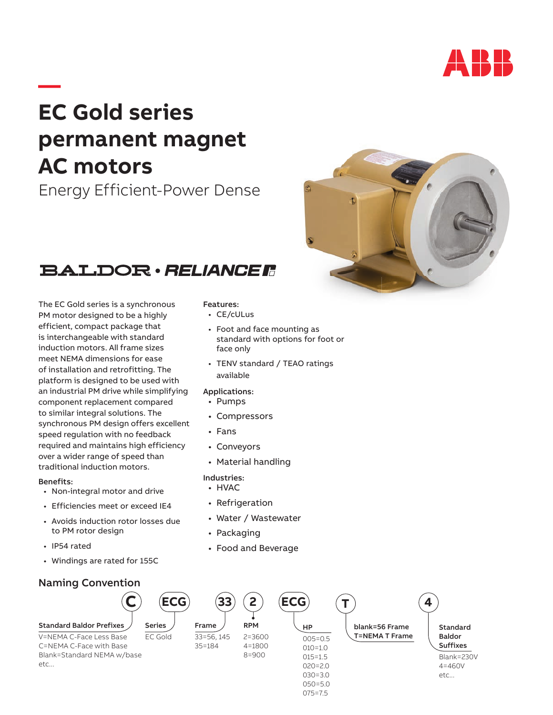

# **— EC Gold series permanent magnet AC motors**

Energy Efficient-Power Dense



## **BALDOR · RELIANCER**

The EC Gold series is a synchronous PM motor designed to be a highly efficient, compact package that is interchangeable with standard induction motors. All frame sizes meet NEMA dimensions for ease of installation and retrofitting. The platform is designed to be used with an industrial PM drive while simplifying component replacement compared to similar integral solutions. The synchronous PM design offers excellent speed regulation with no feedback required and maintains high efficiency over a wider range of speed than traditional induction motors.

#### Benefits:

- Non-integral motor and drive
- Efficiencies meet or exceed IE4
- Avoids induction rotor losses due to PM rotor design
- IP54 rated
- Windings are rated for 155C

### Naming Convention



#### Features:

- CE/cULus
- Foot and face mounting as standard with options for foot or face only
- TENV standard / TEAO ratings available

#### Applications:

- Pumps
- Compressors
- Fans
- Conveyors
- Material handling

### Industries:

- HVAC
- Refrigeration
- Water / Wastewater
- Packaging
- Food and Beverage